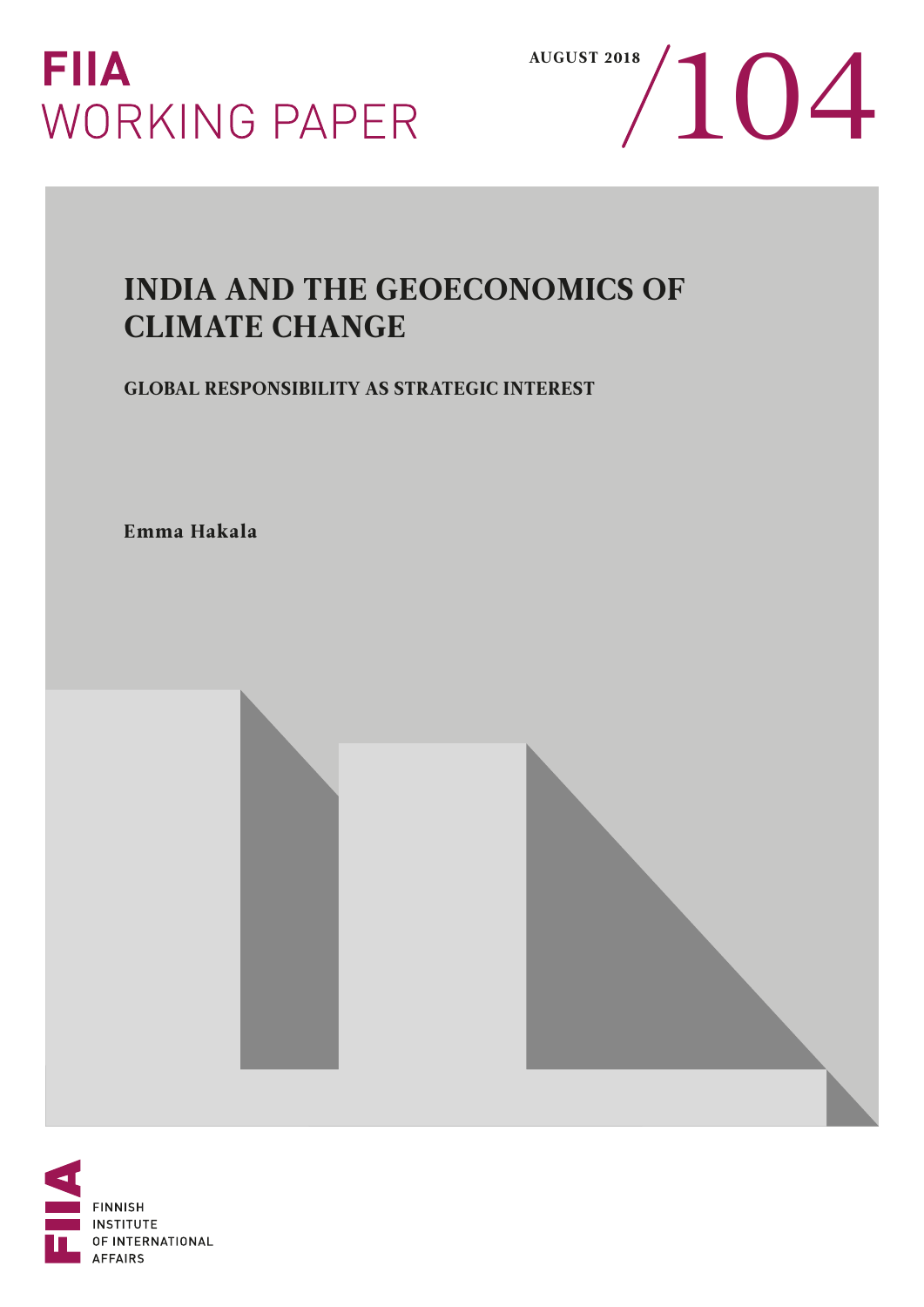



# INDIA AND THE GEOECONOMICS OF CLIMATE CHANGE

GLOBAL RESPONSIBILITY AS STRATEGIC INTEREST

Emma Hakala

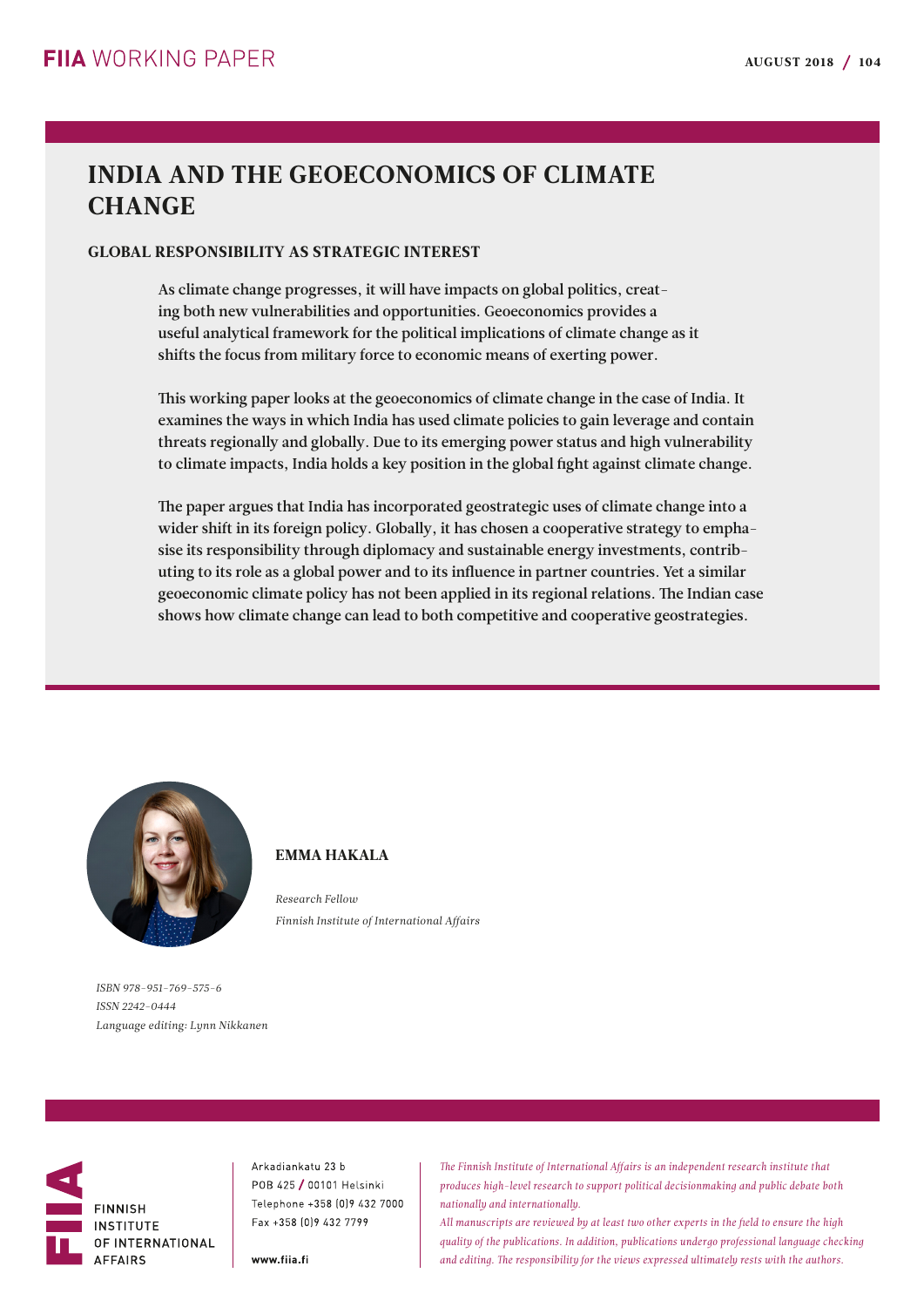## INDIA AND THE GEOECONOMICS OF CLIMATE **CHANGE**

## GLOBAL RESPONSIBILITY AS STRATEGIC INTEREST

As climate change progresses, it will have impacts on global politics, creating both new vulnerabilities and opportunities. Geoeconomics provides a useful analytical framework for the political implications of climate change as it shifts the focus from military force to economic means of exerting power.

This working paper looks at the geoeconomics of climate change in the case of India. It examines the ways in which India has used climate policies to gain leverage and contain threats regionally and globally. Due to its emerging power status and high vulnerability to climate impacts, India holds a key position in the global fight against climate change.

The paper argues that India has incorporated geostrategic uses of climate change into a wider shift in its foreign policy. Globally, it has chosen a cooperative strategy to emphasise its responsibility through diplomacy and sustainable energy investments, contributing to its role as a global power and to its influence in partner countries. Yet a similar geoeconomic climate policy has not been applied in its regional relations. The Indian case shows how climate change can lead to both competitive and cooperative geostrategies.



## EMMA HAKALA

*Research Fellow Finnish Institute of International Affairs*

*ISBN 978-951-769-575-6 ISSN 2242-0444 Language editing: Lynn Nikkanen*



Arkadiankatu 23 b POB 425 / 00101 Helsinki Telephone +358 (0) 9 432 7000 Fax +358 [0] 9 432 7799

www.fiia.fi

*The Finnish Institute of International Affairs is an independent research institute that produces high-level research to support political decisionmaking and public debate both nationally and internationally.*

*All manuscripts are reviewed by at least two other experts in the field to ensure the high quality of the publications. In addition, publications undergo professional language checking and editing. The responsibility for the views expressed ultimately rests with the authors.*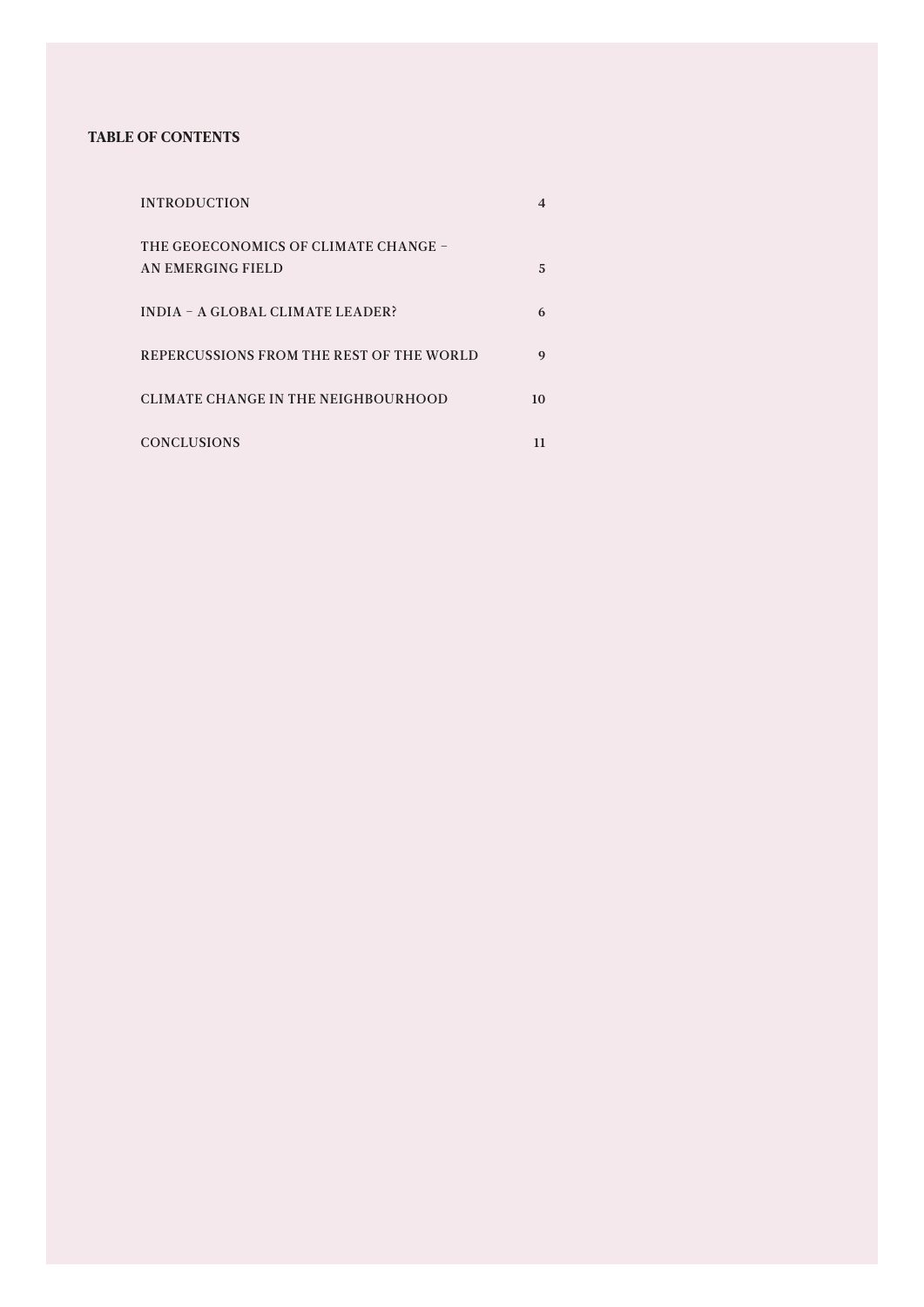## TABLE OF CONTENTS

| <b>INTRODUCTION</b>                                       |    |
|-----------------------------------------------------------|----|
| THE GEOECONOMICS OF CLIMATE CHANGE -<br>AN EMERGING FIELD | 5  |
| <b>INDIA - A GLOBAL CLIMATE LEADER?</b>                   | 6  |
| REPERCUSSIONS FROM THE REST OF THE WORLD                  | 9  |
| CLIMATE CHANGE IN THE NEIGHBOURHOOD                       | 10 |
| <b>CONCLUSIONS</b>                                        | 11 |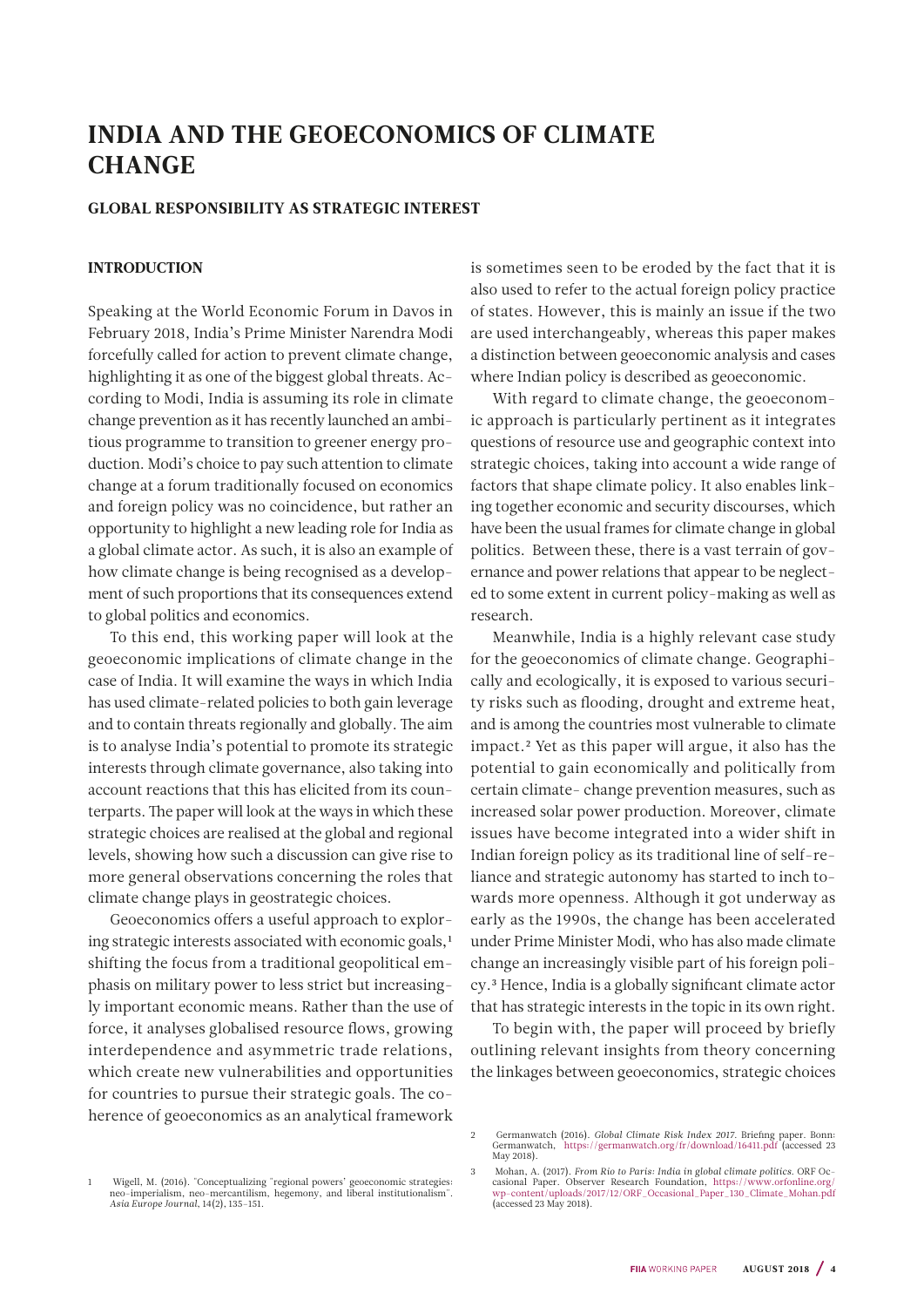## <span id="page-3-0"></span>INDIA AND THE GEOECONOMICS OF CLIMATE **CHANGE**

### GLOBAL RESPONSIBILITY AS STRATEGIC INTEREST

## **INTRODUCTION**

Speaking at the World Economic Forum in Davos in February 2018, India's Prime Minister Narendra Modi forcefully called for action to prevent climate change, highlighting it as one of the biggest global threats. According to Modi, India is assuming its role in climate change prevention as it has recently launched an ambitious programme to transition to greener energy production. Modi's choice to pay such attention to climate change at a forum traditionally focused on economics and foreign policy was no coincidence, but rather an opportunity to highlight a new leading role for India as a global climate actor. As such, it is also an example of how climate change is being recognised as a development of such proportions that its consequences extend to global politics and economics.

To this end, this working paper will look at the geoeconomic implications of climate change in the case of India. It will examine the ways in which India has used climate-related policies to both gain leverage and to contain threats regionally and globally. The aim is to analyse India's potential to promote its strategic interests through climate governance, also taking into account reactions that this has elicited from its counterparts. The paper will look at the ways in which these strategic choices are realised at the global and regional levels, showing how such a discussion can give rise to more general observations concerning the roles that climate change plays in geostrategic choices.

Geoeconomics offers a useful approach to exploring strategic interests associated with economic goals,<sup>1</sup> shifting the focus from a traditional geopolitical emphasis on military power to less strict but increasingly important economic means. Rather than the use of force, it analyses globalised resource flows, growing interdependence and asymmetric trade relations, which create new vulnerabilities and opportunities for countries to pursue their strategic goals. The coherence of geoeconomics as an analytical framework

is sometimes seen to be eroded by the fact that it is also used to refer to the actual foreign policy practice of states. However, this is mainly an issue if the two are used interchangeably, whereas this paper makes a distinction between geoeconomic analysis and cases where Indian policy is described as geoeconomic.

With regard to climate change, the geoeconomic approach is particularly pertinent as it integrates questions of resource use and geographic context into strategic choices, taking into account a wide range of factors that shape climate policy. It also enables linking together economic and security discourses, which have been the usual frames for climate change in global politics. Between these, there is a vast terrain of governance and power relations that appear to be neglected to some extent in current policy-making as well as research.

Meanwhile, India is a highly relevant case study for the geoeconomics of climate change. Geographically and ecologically, it is exposed to various security risks such as flooding, drought and extreme heat, and is among the countries most vulnerable to climate impact.2 Yet as this paper will argue, it also has the potential to gain economically and politically from certain climate- change prevention measures, such as increased solar power production. Moreover, climate issues have become integrated into a wider shift in Indian foreign policy as its traditional line of self-reliance and strategic autonomy has started to inch towards more openness. Although it got underway as early as the 1990s, the change has been accelerated under Prime Minister Modi, who has also made climate change an increasingly visible part of his foreign policy.3 Hence, India is a globally significant climate actor that has strategic interests in the topic in its own right.

To begin with, the paper will proceed by briefly outlining relevant insights from theory concerning the linkages between geoeconomics, strategic choices

<sup>2</sup> Germanwatch (2016). *Global Climate Risk Index 2017.* Briefing paper. Bonn: Germanwatch, <https://germanwatch.org/fr/download/16411.pdf> (accessed 23 May 2018).

<sup>1</sup> Wigell, M. (2016). "Conceptualizing "regional powers' geoeconomic strategies: neo-imperialism, neo-mercantilism, hegemony, and liberal institutionalism". *Asia Europe Journal*, 14(2), 135–151.

<sup>3</sup> Mohan, A. (2017). *From Rio to Paris: India in global climate politics*. ORF Occasional Paper. Observer Research Foundation, [https://www.orfonline.org/](https://www.orfonline.org/wp-content/uploads/2017/12/ORF_Occasional_Paper_130_Climate_Mohan.pdf) [wp-content/uploads/2017/12/ORF\\_Occasional\\_Paper\\_130\\_Climate\\_Mohan.pdf](https://www.orfonline.org/wp-content/uploads/2017/12/ORF_Occasional_Paper_130_Climate_Mohan.pdf) (accessed 23 May 2018).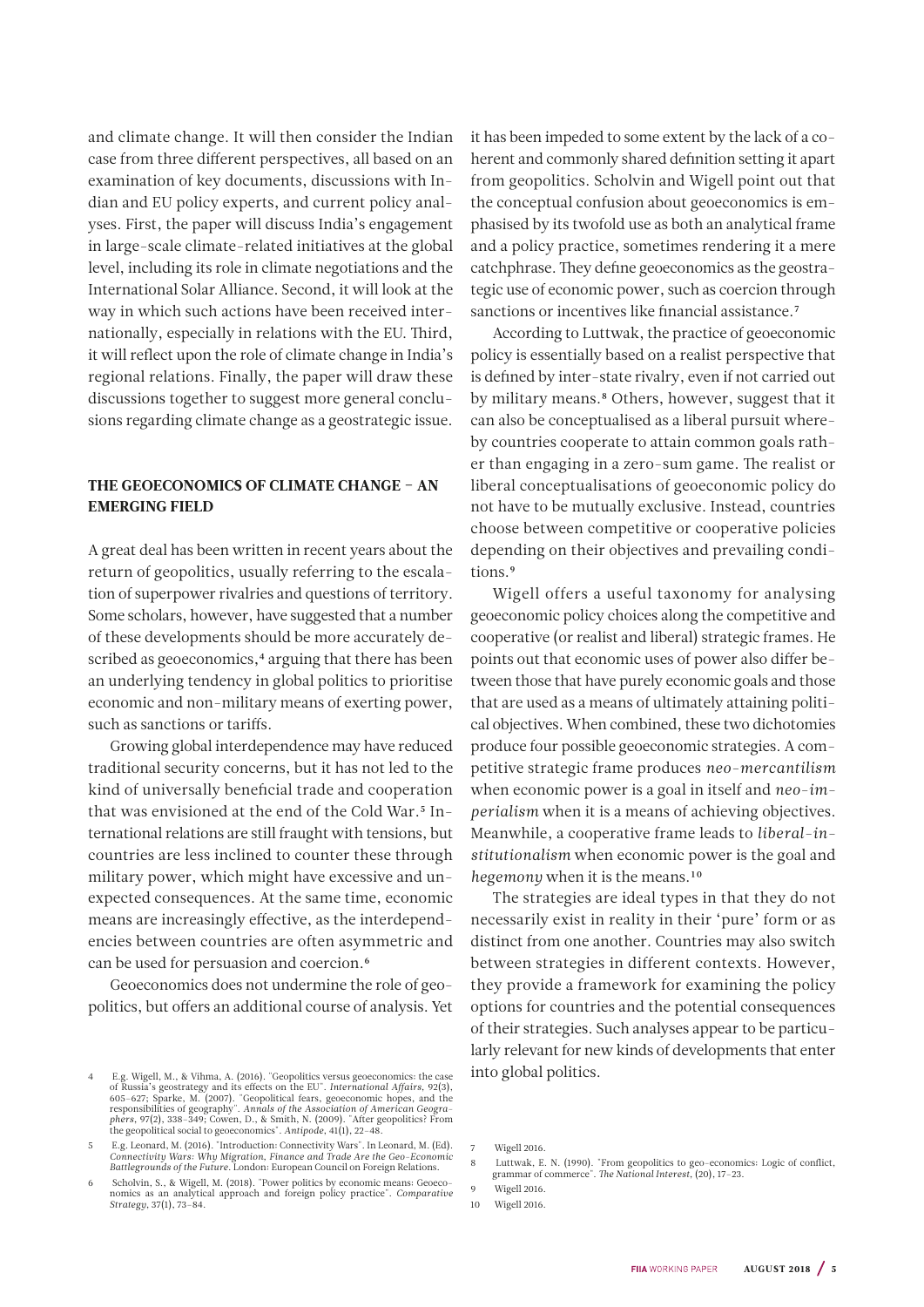<span id="page-4-0"></span>and climate change. It will then consider the Indian case from three different perspectives, all based on an examination of key documents, discussions with Indian and EU policy experts, and current policy analyses. First, the paper will discuss India's engagement in large-scale climate-related initiatives at the global level, including its role in climate negotiations and the International Solar Alliance. Second, it will look at the way in which such actions have been received internationally, especially in relations with the EU. Third, it will reflect upon the role of climate change in India's regional relations. Finally, the paper will draw these discussions together to suggest more general conclusions regarding climate change as a geostrategic issue.

## THE GEOECONOMICS OF CLIMATE CHANGE – AN EMERGING FIELD

A great deal has been written in recent years about the return of geopolitics, usually referring to the escalation of superpower rivalries and questions of territory. Some scholars, however, have suggested that a number of these developments should be more accurately described as geoeconomics,<sup>4</sup> arguing that there has been an underlying tendency in global politics to prioritise economic and non-military means of exerting power, such as sanctions or tariffs.

Growing global interdependence may have reduced traditional security concerns, but it has not led to the kind of universally beneficial trade and cooperation that was envisioned at the end of the Cold War.<sup>5</sup> International relations are still fraught with tensions, but countries are less inclined to counter these through military power, which might have excessive and unexpected consequences. At the same time, economic means are increasingly effective, as the interdependencies between countries are often asymmetric and can be used for persuasion and coercion.6

Geoeconomics does not undermine the role of geopolitics, but offers an additional course of analysis. Yet it has been impeded to some extent by the lack of a coherent and commonly shared definition setting it apart from geopolitics. Scholvin and Wigell point out that the conceptual confusion about geoeconomics is emphasised by its twofold use as both an analytical frame and a policy practice, sometimes rendering it a mere catchphrase. They define geoeconomics as the geostrategic use of economic power, such as coercion through sanctions or incentives like financial assistance.<sup>7</sup>

According to Luttwak, the practice of geoeconomic policy is essentially based on a realist perspective that is defined by inter-state rivalry, even if not carried out by military means.8 Others, however, suggest that it can also be conceptualised as a liberal pursuit whereby countries cooperate to attain common goals rather than engaging in a zero-sum game. The realist or liberal conceptualisations of geoeconomic policy do not have to be mutually exclusive. Instead, countries choose between competitive or cooperative policies depending on their objectives and prevailing conditions.9

Wigell offers a useful taxonomy for analysing geoeconomic policy choices along the competitive and cooperative (or realist and liberal) strategic frames. He points out that economic uses of power also differ between those that have purely economic goals and those that are used as a means of ultimately attaining political objectives. When combined, these two dichotomies produce four possible geoeconomic strategies. A competitive strategic frame produces *neo-mercantilism* when economic power is a goal in itself and *neo-imperialism* when it is a means of achieving objectives. Meanwhile, a cooperative frame leads to *liberal-institutionalism* when economic power is the goal and *hegemony* when it is the means.10

The strategies are ideal types in that they do not necessarily exist in reality in their 'pure' form or as distinct from one another. Countries may also switch between strategies in different contexts. However, they provide a framework for examining the policy options for countries and the potential consequences of their strategies. Such analyses appear to be particularly relevant for new kinds of developments that enter into global politics.

<sup>4</sup> E.g. Wigell, M., & Vihma, A. (2016). "Geopolitics versus geoeconomics: the case of Russia's geostrategy and its effects on the EU". *International Affairs*, 92(3), 605–627; Sparke, M. (2007). "Geopolitical fears, geoeconomic hopes, and the responsibilities of geography". Annals of the Association of A

<sup>5</sup> E.g. Leonard, M. (2016). "Introduction: Connectivity Wars". In Leonard, M. (Ed). *Connectivity Wars: Why Migration, Finance and Trade Are the Geo-Economic Battlegrounds of the Future*. London: European Council on Foreign Relations.

<sup>6</sup> Scholvin, S., & Wigell, M. (2018). "Power politics by economic means: Geoeconomics as an analytical approach and foreign policy practice". *Comparative* nomics as an analytical approach and foreign policy practice". *Strategy*, 37(1), 73–84.

<sup>7</sup> Wigell 2016.

<sup>8</sup> Luttwak, E. N. (1990). "From geopolitics to geo-economics: Logic of conflict, grammar of commerce". *The National Interest*, (20), 17–23. Wigell 2016.

<sup>10</sup> Wigell 2016.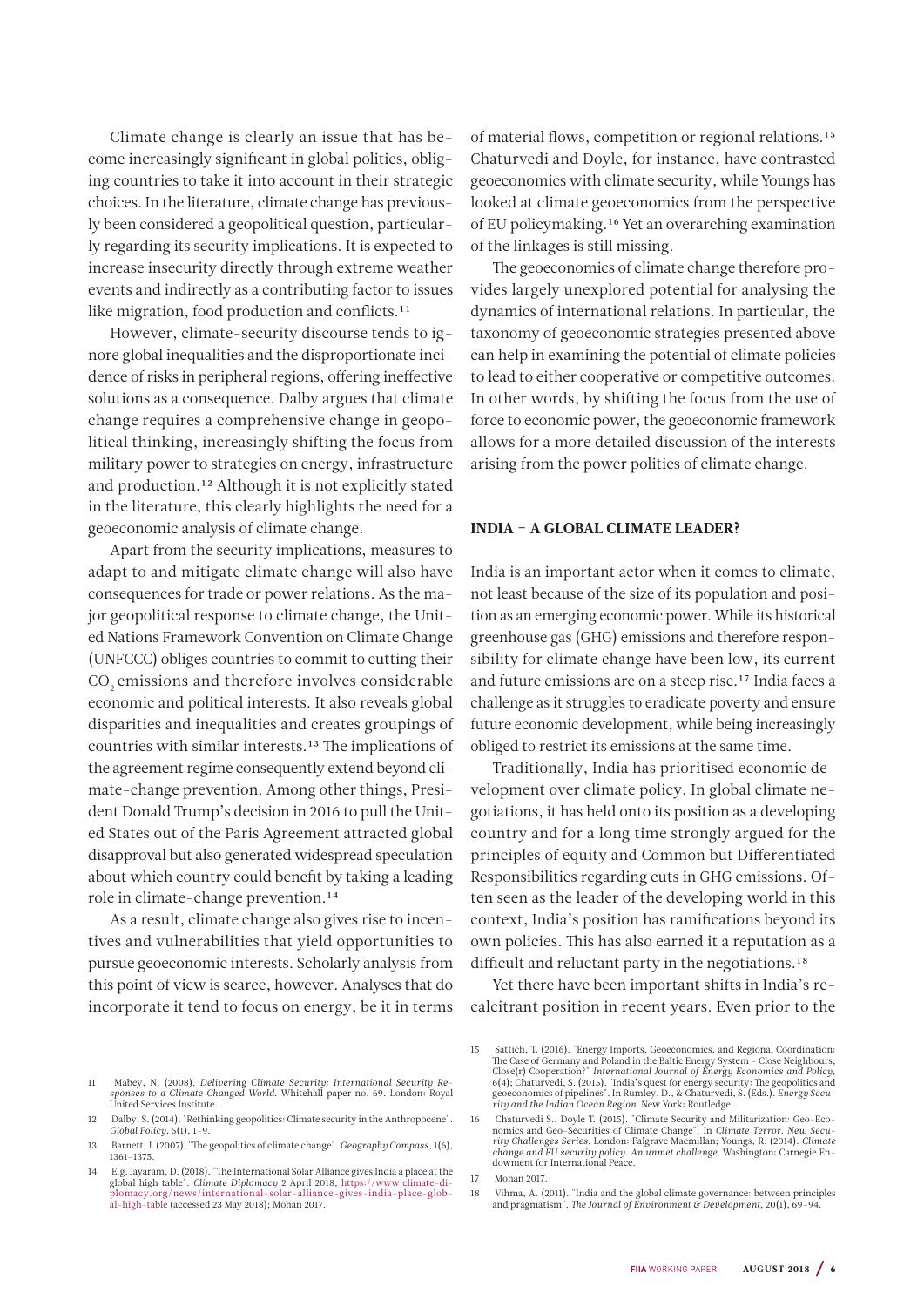<span id="page-5-0"></span>Climate change is clearly an issue that has become increasingly significant in global politics, obliging countries to take it into account in their strategic choices. In the literature, climate change has previously been considered a geopolitical question, particularly regarding its security implications. It is expected to increase insecurity directly through extreme weather events and indirectly as a contributing factor to issues like migration, food production and conflicts.<sup>11</sup>

However, climate-security discourse tends to ignore global inequalities and the disproportionate incidence of risks in peripheral regions, offering ineffective solutions as a consequence. Dalby argues that climate change requires a comprehensive change in geopolitical thinking, increasingly shifting the focus from military power to strategies on energy, infrastructure and production.12 Although it is not explicitly stated in the literature, this clearly highlights the need for a geoeconomic analysis of climate change.

Apart from the security implications, measures to adapt to and mitigate climate change will also have consequences for trade or power relations. As the major geopolitical response to climate change, the United Nations Framework Convention on Climate Change (UNFCCC) obliges countries to commit to cutting their CO<sub>2</sub> emissions and therefore involves considerable economic and political interests. It also reveals global disparities and inequalities and creates groupings of countries with similar interests.13 The implications of the agreement regime consequently extend beyond climate-change prevention. Among other things, President Donald Trump's decision in 2016 to pull the United States out of the Paris Agreement attracted global disapproval but also generated widespread speculation about which country could benefit by taking a leading role in climate-change prevention.14

As a result, climate change also gives rise to incentives and vulnerabilities that yield opportunities to pursue geoeconomic interests. Scholarly analysis from this point of view is scarce, however. Analyses that do incorporate it tend to focus on energy, be it in terms

11 Mabey, N. (2008). *Delivering Climate Security: International Security Re-sponses to a Climate Changed World*. Whitehall paper no. 69. London: Royal

12 Dalby, S. (2014). "Rethinking geopolitics: Climate security in the Anthropocene".

13 Barnett, J. (2007). "The geopolitics of climate change". *Geography Compass*, 1(6),

United Services Institute.

*Global Policy*, 5(1), 1–9.

1361–1375.

of material flows, competition or regional relations.15 Chaturvedi and Doyle, for instance, have contrasted geoeconomics with climate security, while Youngs has looked at climate geoeconomics from the perspective of EU policymaking.16 Yet an overarching examination of the linkages is still missing.

The geoeconomics of climate change therefore provides largely unexplored potential for analysing the dynamics of international relations. In particular, the taxonomy of geoeconomic strategies presented above can help in examining the potential of climate policies to lead to either cooperative or competitive outcomes. In other words, by shifting the focus from the use of force to economic power, the geoeconomic framework allows for a more detailed discussion of the interests arising from the power politics of climate change.

#### INDIA – A GLOBAL CLIMATE LEADER?

India is an important actor when it comes to climate, not least because of the size of its population and position as an emerging economic power. While its historical greenhouse gas (GHG) emissions and therefore responsibility for climate change have been low, its current and future emissions are on a steep rise.<sup>17</sup> India faces a challenge as it struggles to eradicate poverty and ensure future economic development, while being increasingly obliged to restrict its emissions at the same time.

Traditionally, India has prioritised economic development over climate policy. In global climate negotiations, it has held onto its position as a developing country and for a long time strongly argued for the principles of equity and Common but Differentiated Responsibilities regarding cuts in GHG emissions. Often seen as the leader of the developing world in this context, India's position has ramifications beyond its own policies. This has also earned it a reputation as a difficult and reluctant party in the negotiations.<sup>18</sup>

Yet there have been important shifts in India's recalcitrant position in recent years. Even prior to the

E.g. Jayaram, D. (2018). "The International Solar Alliance gives India a place at the global hight table". Climate Diplomacy 2 April 2018, https://www.climate-di-<br>plomacy.org/news/international-solar-alliance-gives-india-p [al-high-table](https://www.climate-diplomacy.org/news/international-solar-alliance-gives-india-place-global-high-table) (accessed 23 May 2018); Mohan 2017.

<sup>15</sup> Sattich, T. (2016). "Energy Imports, Geoeconomics, and Regional Coordination: The Case of Germany and Poland in the Baltic Energy System – Close Neighbours, Close(r) Cooperation?" *International Journal of Energy Economics and Policy*, 6(4); Chaturvedi, S. (2015). "India's quest for energy security: The geopolitics and geoeconomics of pipelines". In Rumley, D., & Chaturvedi, S. (Eds.). *Energy Security and the Indian Ocean Region*. New York: Routledge.

<sup>16</sup> Chaturvedi S., Doyle T. (2015). "Climate Security and Militarization: Geo-Economics and Geo-Securities of Climate Change". In *Climate Terror. New Secu-rity Challenges Series*. London: Palgrave Macmillan; Youngs, R. (2014). *Climate change and EU security policy. An unmet challenge*. Washington: Carnegie En-dowment for International Peace.

<sup>17</sup> Mohan 2017.

<sup>18</sup> Vihma, A. (2011). "India and the global climate governance: between principles and pragmatism". *The Journal of Environment & Development*, 20(1), 69–94.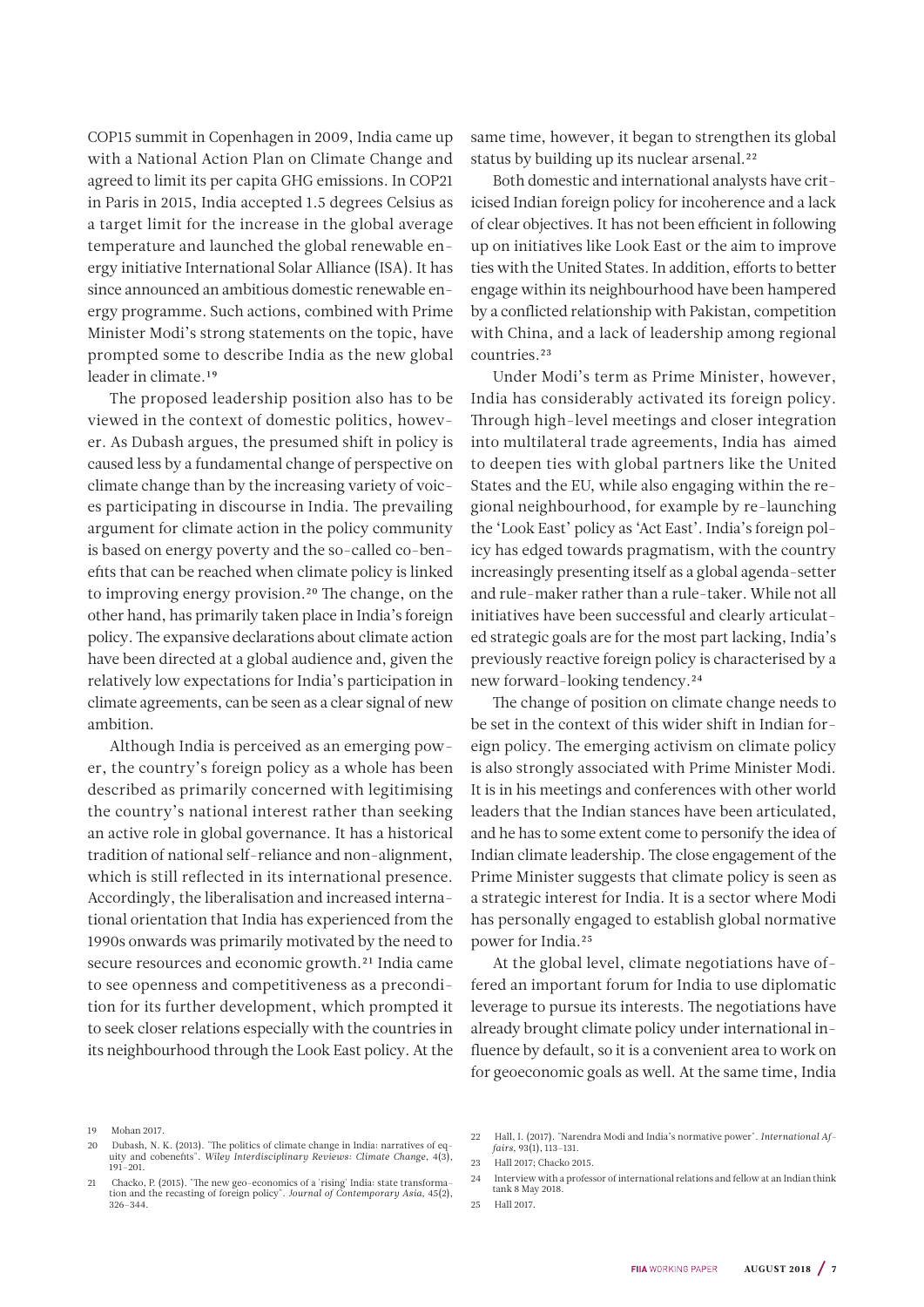COP15 summit in Copenhagen in 2009, India came up with a National Action Plan on Climate Change and agreed to limit its per capita GHG emissions. In COP21 in Paris in 2015, India accepted 1.5 degrees Celsius as a target limit for the increase in the global average temperature and launched the global renewable energy initiative International Solar Alliance (ISA). It has since announced an ambitious domestic renewable energy programme. Such actions, combined with Prime Minister Modi's strong statements on the topic, have prompted some to describe India as the new global leader in climate.19

The proposed leadership position also has to be viewed in the context of domestic politics, however. As Dubash argues, the presumed shift in policy is caused less by a fundamental change of perspective on climate change than by the increasing variety of voices participating in discourse in India. The prevailing argument for climate action in the policy community is based on energy poverty and the so-called co-benefits that can be reached when climate policy is linked to improving energy provision.20 The change, on the other hand, has primarily taken place in India's foreign policy. The expansive declarations about climate action have been directed at a global audience and, given the relatively low expectations for India's participation in climate agreements, can be seen as a clear signal of new ambition.

Although India is perceived as an emerging power, the country's foreign policy as a whole has been described as primarily concerned with legitimising the country's national interest rather than seeking an active role in global governance. It has a historical tradition of national self-reliance and non-alignment, which is still reflected in its international presence. Accordingly, the liberalisation and increased international orientation that India has experienced from the 1990s onwards was primarily motivated by the need to secure resources and economic growth.<sup>21</sup> India came to see openness and competitiveness as a precondition for its further development, which prompted it to seek closer relations especially with the countries in its neighbourhood through the Look East policy. At the

same time, however, it began to strengthen its global status by building up its nuclear arsenal.<sup>22</sup>

Both domestic and international analysts have criticised Indian foreign policy for incoherence and a lack of clear objectives. It has not been efficient in following up on initiatives like Look East or the aim to improve ties with the United States. In addition, efforts to better engage within its neighbourhood have been hampered by a conflicted relationship with Pakistan, competition with China, and a lack of leadership among regional countries.23

Under Modi's term as Prime Minister, however, India has considerably activated its foreign policy. Through high-level meetings and closer integration into multilateral trade agreements, India has aimed to deepen ties with global partners like the United States and the EU, while also engaging within the regional neighbourhood, for example by re-launching the 'Look East' policy as 'Act East'. India's foreign policy has edged towards pragmatism, with the country increasingly presenting itself as a global agenda-setter and rule-maker rather than a rule-taker. While not all initiatives have been successful and clearly articulated strategic goals are for the most part lacking, India's previously reactive foreign policy is characterised by a new forward-looking tendency.24

The change of position on climate change needs to be set in the context of this wider shift in Indian foreign policy. The emerging activism on climate policy is also strongly associated with Prime Minister Modi. It is in his meetings and conferences with other world leaders that the Indian stances have been articulated, and he has to some extent come to personify the idea of Indian climate leadership. The close engagement of the Prime Minister suggests that climate policy is seen as a strategic interest for India. It is a sector where Modi has personally engaged to establish global normative power for India.25

At the global level, climate negotiations have offered an important forum for India to use diplomatic leverage to pursue its interests. The negotiations have already brought climate policy under international influence by default, so it is a convenient area to work on for geoeconomic goals as well. At the same time, India

20 Dubash, N. K. (2013). "The politics of climate change in India: narratives of equity and cobenefits". *Wiley Interdisciplinary Reviews: Climate Change*, 4(3), 191–201.

<sup>19</sup> Mohan 2017.

<sup>21</sup> Chacko, P. (2015). "The new geo-economics of a 'rising' India: state transforma-tion and the recasting of foreign policy". *Journal of Contemporary Asia*, 45(2), 326–344.

<sup>22</sup> Hall, I. (2017). "Narendra Modi and India's normative power". *International Affairs*, 93(1), 113–131. 23 Hall 2017; Chacko 2015.

<sup>24</sup> Interview with a professor of international relations and fellow at an Indian think tank 8 May 2018.

<sup>25</sup> Hall 2017.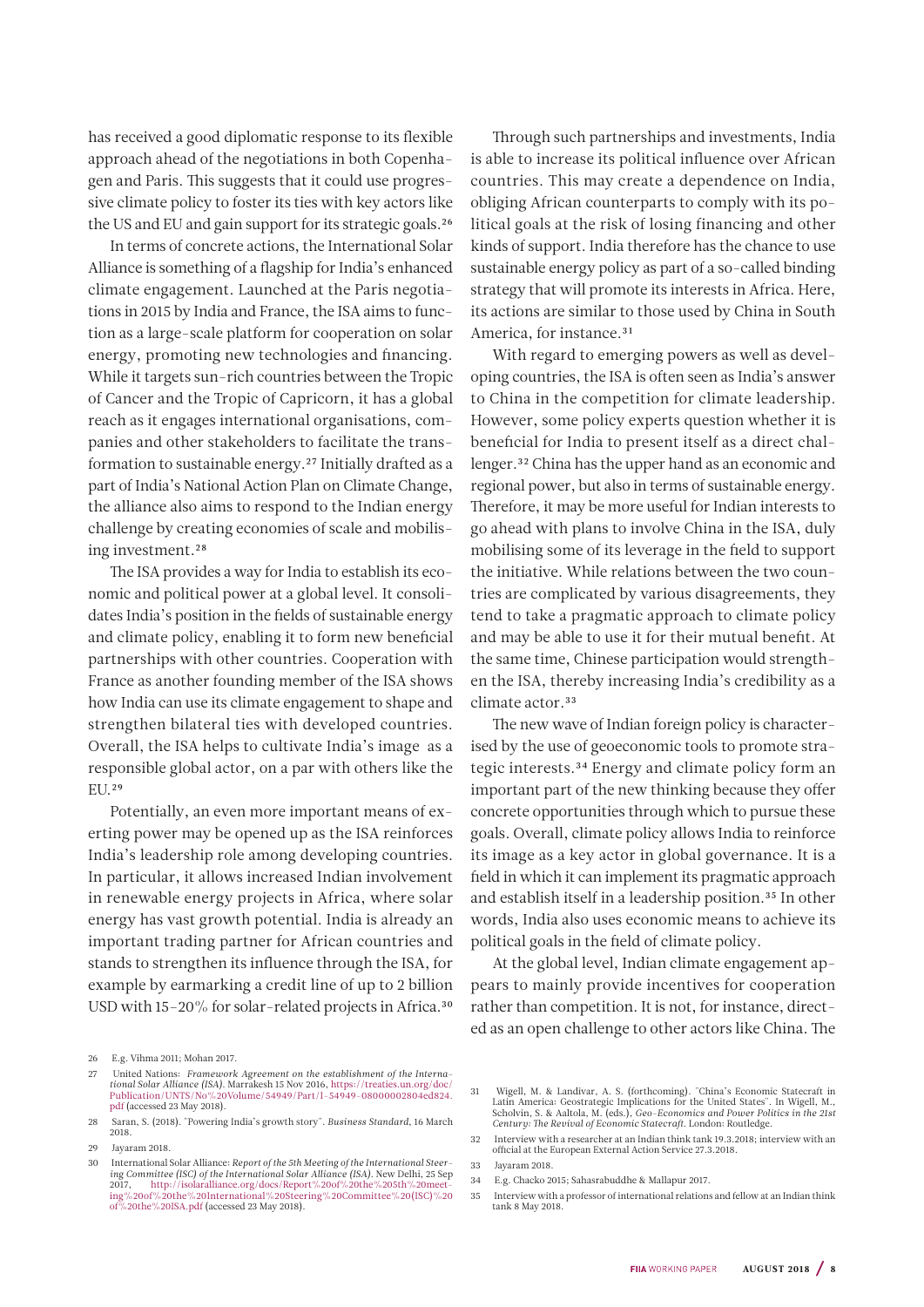has received a good diplomatic response to its flexible approach ahead of the negotiations in both Copenhagen and Paris. This suggests that it could use progressive climate policy to foster its ties with key actors like the US and EU and gain support for its strategic goals.26

In terms of concrete actions, the International Solar Alliance is something of a flagship for India's enhanced climate engagement. Launched at the Paris negotiations in 2015 by India and France, the ISA aims to function as a large-scale platform for cooperation on solar energy, promoting new technologies and financing. While it targets sun-rich countries between the Tropic of Cancer and the Tropic of Capricorn, it has a global reach as it engages international organisations, companies and other stakeholders to facilitate the transformation to sustainable energy.27 Initially drafted as a part of India's National Action Plan on Climate Change, the alliance also aims to respond to the Indian energy challenge by creating economies of scale and mobilising investment.<sup>28</sup>

The ISA provides a way for India to establish its economic and political power at a global level. It consolidates India's position in the fields of sustainable energy and climate policy, enabling it to form new beneficial partnerships with other countries. Cooperation with France as another founding member of the ISA shows how India can use its climate engagement to shape and strengthen bilateral ties with developed countries. Overall, the ISA helps to cultivate India's image as a responsible global actor, on a par with others like the EU.29

Potentially, an even more important means of exerting power may be opened up as the ISA reinforces India's leadership role among developing countries. In particular, it allows increased Indian involvement in renewable energy projects in Africa, where solar energy has vast growth potential. India is already an important trading partner for African countries and stands to strengthen its influence through the ISA, for example by earmarking a credit line of up to 2 billion USD with 15-20% for solar-related projects in Africa.<sup>30</sup>

26 E.g. Vihma 2011; Mohan 2017.

Through such partnerships and investments, India is able to increase its political influence over African countries. This may create a dependence on India, obliging African counterparts to comply with its political goals at the risk of losing financing and other kinds of support. India therefore has the chance to use sustainable energy policy as part of a so-called binding strategy that will promote its interests in Africa. Here, its actions are similar to those used by China in South America, for instance.<sup>31</sup>

With regard to emerging powers as well as developing countries, the ISA is often seen as India's answer to China in the competition for climate leadership. However, some policy experts question whether it is beneficial for India to present itself as a direct challenger.32 China has the upper hand as an economic and regional power, but also in terms of sustainable energy. Therefore, it may be more useful for Indian interests to go ahead with plans to involve China in the ISA, duly mobilising some of its leverage in the field to support the initiative. While relations between the two countries are complicated by various disagreements, they tend to take a pragmatic approach to climate policy and may be able to use it for their mutual benefit. At the same time, Chinese participation would strengthen the ISA, thereby increasing India's credibility as a climate actor.<sup>33</sup>

The new wave of Indian foreign policy is characterised by the use of geoeconomic tools to promote strategic interests.34 Energy and climate policy form an important part of the new thinking because they offer concrete opportunities through which to pursue these goals. Overall, climate policy allows India to reinforce its image as a key actor in global governance. It is a field in which it can implement its pragmatic approach and establish itself in a leadership position.35 In other words, India also uses economic means to achieve its political goals in the field of climate policy.

At the global level, Indian climate engagement appears to mainly provide incentives for cooperation rather than competition. It is not, for instance, directed as an open challenge to other actors like China. The

<sup>27</sup> United Nations: *Framework Agreement on the establishment of the Interna-tional Solar Alliance (ISA)*. Marrakesh 15 Nov 2016, [https://treaties.un.org/doc/](https://treaties.un.org/doc/Publication/UNTS/No%20Volume/54949/Part/I-54949-08000002804ed824.pdf) [Publication/UNTS/No%20Volume/54949/Part/I-54949-08000002804ed824.](https://treaties.un.org/doc/Publication/UNTS/No%20Volume/54949/Part/I-54949-08000002804ed824.pdf) [pdf](https://treaties.un.org/doc/Publication/UNTS/No%20Volume/54949/Part/I-54949-08000002804ed824.pdf) (accessed 23 May 2018).

<sup>28</sup> Saran, S. (2018). "Powering India's growth story". *Business Standard*, 16 March 2018.

<sup>29</sup> Jayaram 2018.

<sup>30</sup> International Solar Alliance: *Report of the 5th Meeting of the International Steering Committee (ISC) of the International Solar Alliance (ISA).* New Delhi, 25 Sep<br>2017, http://isolaralliance.org/docs/Report%20of%20th%205th%20meet-<br>[ing%20of%20the%20International%20Steering%20Committee%20\(ISC\)%20](http://isolaralliance.org/docs/Report%20of%20the%205th%20meeting%20of%20the%20International%20Steering%20Committee%20(ISC)%20of%20the%20ISA.pdf) [of%20the%20ISA.pdf](http://isolaralliance.org/docs/Report%20of%20the%205th%20meeting%20of%20the%20International%20Steering%20Committee%20(ISC)%20of%20the%20ISA.pdf) (accessed 23 May 2018).

<sup>31</sup> Wigell, M. & Landivar, A. S. (forthcoming). "China's Economic Statecraft in Latin America: Geostrategic Implications for the United States". In Wigell, M., Scholvin, S. & Aaltola, M. (eds.), *Geo-Economics and Power Politics in the 21st Century: The Revival of Economic Statecraft*. London: Routledge.

<sup>32</sup> Interview with a researcher at an Indian think tank 19.3.2018; interview with an official at the European External Action Service 27.3.2018.

<sup>33</sup> Jayaram 2018.

<sup>34</sup> E.g. Chacko 2015; Sahasrabuddhe & Mallapur 2017.

<sup>35</sup> Interview with a professor of international relations and fellow at an Indian think tank 8 May 2018.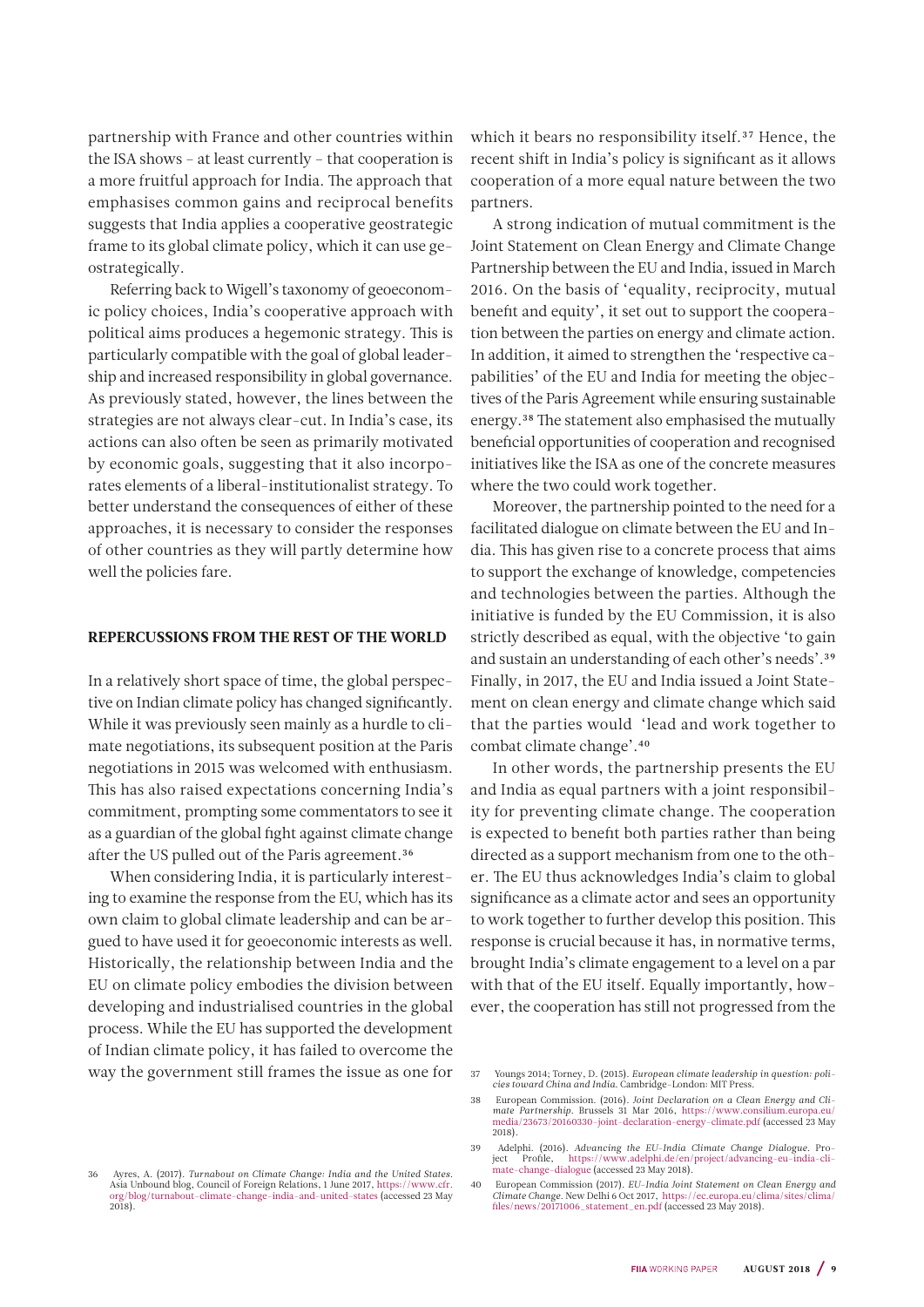<span id="page-8-0"></span>partnership with France and other countries within the ISA shows – at least currently – that cooperation is a more fruitful approach for India. The approach that emphasises common gains and reciprocal benefits suggests that India applies a cooperative geostrategic frame to its global climate policy, which it can use geostrategically.

Referring back to Wigell's taxonomy of geoeconomic policy choices, India's cooperative approach with political aims produces a hegemonic strategy. This is particularly compatible with the goal of global leadership and increased responsibility in global governance. As previously stated, however, the lines between the strategies are not always clear-cut. In India's case, its actions can also often be seen as primarily motivated by economic goals, suggesting that it also incorporates elements of a liberal-institutionalist strategy. To better understand the consequences of either of these approaches, it is necessary to consider the responses of other countries as they will partly determine how well the policies fare.

#### REPERCUSSIONS FROM THE REST OF THE WORLD

In a relatively short space of time, the global perspective on Indian climate policy has changed significantly. While it was previously seen mainly as a hurdle to climate negotiations, its subsequent position at the Paris negotiations in 2015 was welcomed with enthusiasm. This has also raised expectations concerning India's commitment, prompting some commentators to see it as a guardian of the global fight against climate change after the US pulled out of the Paris agreement.36

When considering India, it is particularly interesting to examine the response from the EU, which has its own claim to global climate leadership and can be argued to have used it for geoeconomic interests as well. Historically, the relationship between India and the EU on climate policy embodies the division between developing and industrialised countries in the global process. While the EU has supported the development of Indian climate policy, it has failed to overcome the way the government still frames the issue as one for

36 Ayres, A. (2017). *Turnabout on Climate Change: India and the United States*. Asia Unbound blog, Council of Foreign Relations, 1 June 2017, [https://www.cfr.](https://www.cfr.org/blog/turnabout-climate-change-india-and-united-states) [org/blog/turnabout-climate-change-india-and-united-states](https://www.cfr.org/blog/turnabout-climate-change-india-and-united-states) (accessed 23 May 2018).

which it bears no responsibility itself.<sup>37</sup> Hence, the recent shift in India's policy is significant as it allows cooperation of a more equal nature between the two partners.

A strong indication of mutual commitment is the Joint Statement on Clean Energy and Climate Change Partnership between the EU and India, issued in March 2016. On the basis of 'equality, reciprocity, mutual benefit and equity', it set out to support the cooperation between the parties on energy and climate action. In addition, it aimed to strengthen the 'respective capabilities' of the EU and India for meeting the objectives of the Paris Agreement while ensuring sustainable energy.38 The statement also emphasised the mutually beneficial opportunities of cooperation and recognised initiatives like the ISA as one of the concrete measures where the two could work together.

Moreover, the partnership pointed to the need for a facilitated dialogue on climate between the EU and India. This has given rise to a concrete process that aims to support the exchange of knowledge, competencies and technologies between the parties. Although the initiative is funded by the EU Commission, it is also strictly described as equal, with the objective 'to gain and sustain an understanding of each other's needs'.39 Finally, in 2017, the EU and India issued a Joint Statement on clean energy and climate change which said that the parties would 'lead and work together to combat climate change'.40

In other words, the partnership presents the EU and India as equal partners with a joint responsibility for preventing climate change. The cooperation is expected to benefit both parties rather than being directed as a support mechanism from one to the other. The EU thus acknowledges India's claim to global significance as a climate actor and sees an opportunity to work together to further develop this position. This response is crucial because it has, in normative terms, brought India's climate engagement to a level on a par with that of the EU itself. Equally importantly, however, the cooperation has still not progressed from the

40 European Commission (2017). *EU-India Joint Statement on Clean Energy and Climate Change*. New Delhi 6 Oct 2017, [https://ec.europa.eu/clima/sites/clima/](https://ec.europa.eu/clima/sites/clima/files/news/20171006_statement_en.pdf) [files/news/20171006\\_statement\\_en.pdf](https://ec.europa.eu/clima/sites/clima/files/news/20171006_statement_en.pdf) (accessed 23 May 2018).

<sup>37</sup> Youngs 2014; Torney, D. (2015). *European climate leadership in question: poli-cies toward China and India*. Cambridge-London: MIT Press.

<sup>38</sup> European Commission. (2016). *Joint Declaration on a Clean Energy and Cli-mate Partnership*. Brussels 31 Mar 2016, [https://www.consilium.europa.eu/](https://www.consilium.europa.eu/media/23673/20160330-joint-declaration-energy-climate.pdf) [media/23673/20160330-joint-declaration-energy-climate.pdf](https://www.consilium.europa.eu/media/23673/20160330-joint-declaration-energy-climate.pdf) (accessed 23 May 2018).

<sup>39</sup> Adelphi. (2016). *Advancing the EU-India Climate Change Dialogue*. Pro-ject Profile, [https://www.adelphi.de/en/project/advancing-eu-india-cli](https://www.adelphi.de/en/project/advancing-eu-india-climate-change-dialogue)[mate-change-dialogue](https://www.adelphi.de/en/project/advancing-eu-india-climate-change-dialogue) (accessed 23 May 2018).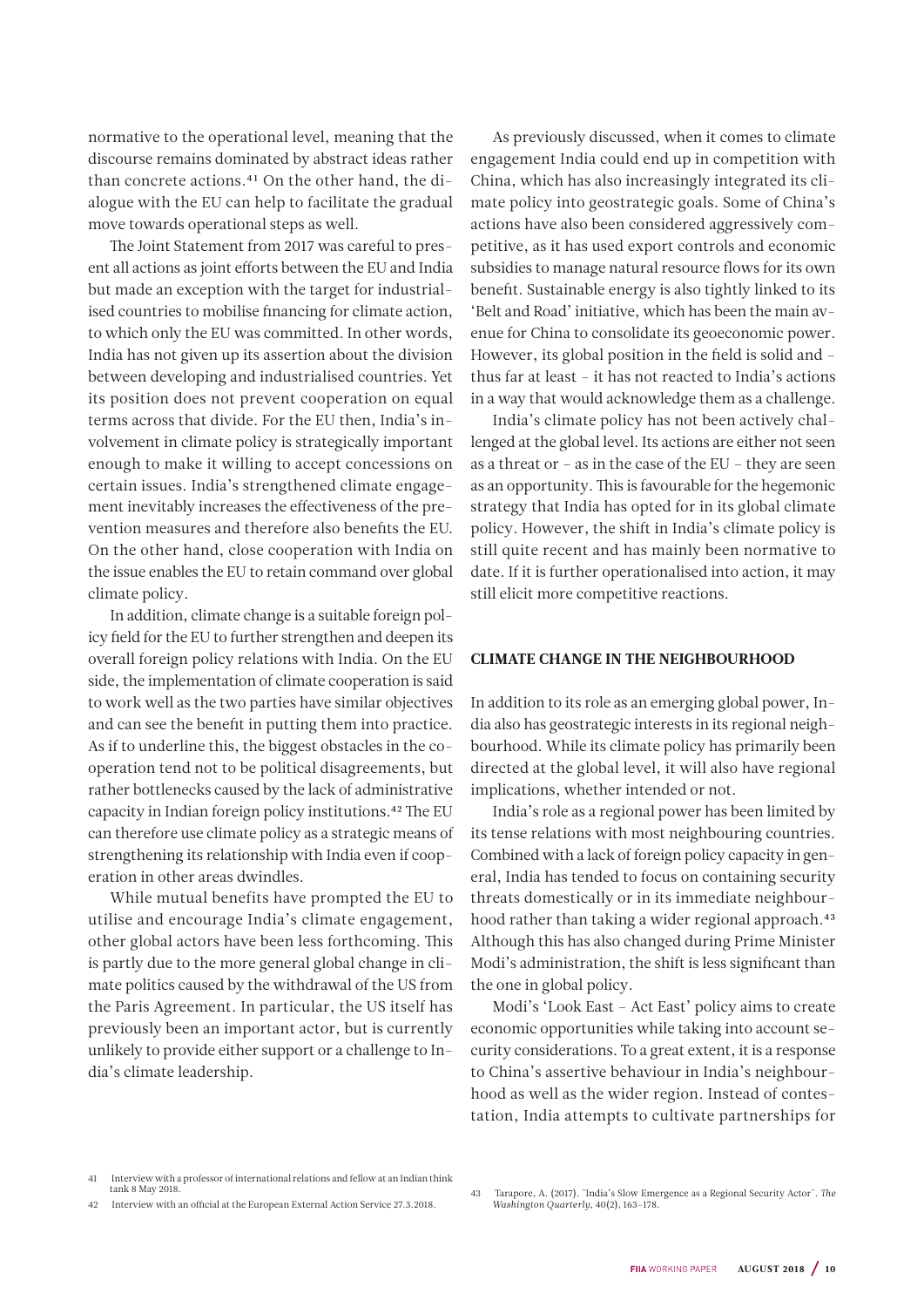<span id="page-9-0"></span>normative to the operational level, meaning that the discourse remains dominated by abstract ideas rather than concrete actions.41 On the other hand, the dialogue with the EU can help to facilitate the gradual move towards operational steps as well.

The Joint Statement from 2017 was careful to present all actions as joint efforts between the EU and India but made an exception with the target for industrialised countries to mobilise financing for climate action, to which only the EU was committed. In other words, India has not given up its assertion about the division between developing and industrialised countries. Yet its position does not prevent cooperation on equal terms across that divide. For the EU then, India's involvement in climate policy is strategically important enough to make it willing to accept concessions on certain issues. India's strengthened climate engagement inevitably increases the effectiveness of the prevention measures and therefore also benefits the EU. On the other hand, close cooperation with India on the issue enables the EU to retain command over global climate policy.

In addition, climate change is a suitable foreign policy field for the EU to further strengthen and deepen its overall foreign policy relations with India. On the EU side, the implementation of climate cooperation is said to work well as the two parties have similar objectives and can see the benefit in putting them into practice. As if to underline this, the biggest obstacles in the cooperation tend not to be political disagreements, but rather bottlenecks caused by the lack of administrative capacity in Indian foreign policy institutions.42 The EU can therefore use climate policy as a strategic means of strengthening its relationship with India even if cooperation in other areas dwindles.

While mutual benefits have prompted the EU to utilise and encourage India's climate engagement, other global actors have been less forthcoming. This is partly due to the more general global change in climate politics caused by the withdrawal of the US from the Paris Agreement. In particular, the US itself has previously been an important actor, but is currently unlikely to provide either support or a challenge to India's climate leadership.

As previously discussed, when it comes to climate engagement India could end up in competition with China, which has also increasingly integrated its climate policy into geostrategic goals. Some of China's actions have also been considered aggressively competitive, as it has used export controls and economic subsidies to manage natural resource flows for its own benefit. Sustainable energy is also tightly linked to its 'Belt and Road' initiative, which has been the main avenue for China to consolidate its geoeconomic power. However, its global position in the field is solid and – thus far at least – it has not reacted to India's actions in a way that would acknowledge them as a challenge.

India's climate policy has not been actively challenged at the global level. Its actions are either not seen as a threat or – as in the case of the EU – they are seen as an opportunity. This is favourable for the hegemonic strategy that India has opted for in its global climate policy. However, the shift in India's climate policy is still quite recent and has mainly been normative to date. If it is further operationalised into action, it may still elicit more competitive reactions.

### CLIMATE CHANGE IN THE NEIGHBOURHOOD

In addition to its role as an emerging global power, India also has geostrategic interests in its regional neighbourhood. While its climate policy has primarily been directed at the global level, it will also have regional implications, whether intended or not.

India's role as a regional power has been limited by its tense relations with most neighbouring countries. Combined with a lack of foreign policy capacity in general, India has tended to focus on containing security threats domestically or in its immediate neighbourhood rather than taking a wider regional approach.<sup>43</sup> Although this has also changed during Prime Minister Modi's administration, the shift is less significant than the one in global policy.

Modi's 'Look East – Act East' policy aims to create economic opportunities while taking into account security considerations. To a great extent, it is a response to China's assertive behaviour in India's neighbourhood as well as the wider region. Instead of contestation, India attempts to cultivate partnerships for

<sup>41</sup> Interview with a professor of international relations and fellow at an Indian think tank 8 May 2018.

<sup>42</sup> Interview with an official at the European External Action Service 27.3.2018.

<sup>43</sup> Tarapore, A. (2017). "India's Slow Emergence as a Regional Security Actor". *The Washington Quarterly*, 40(2), 163–178.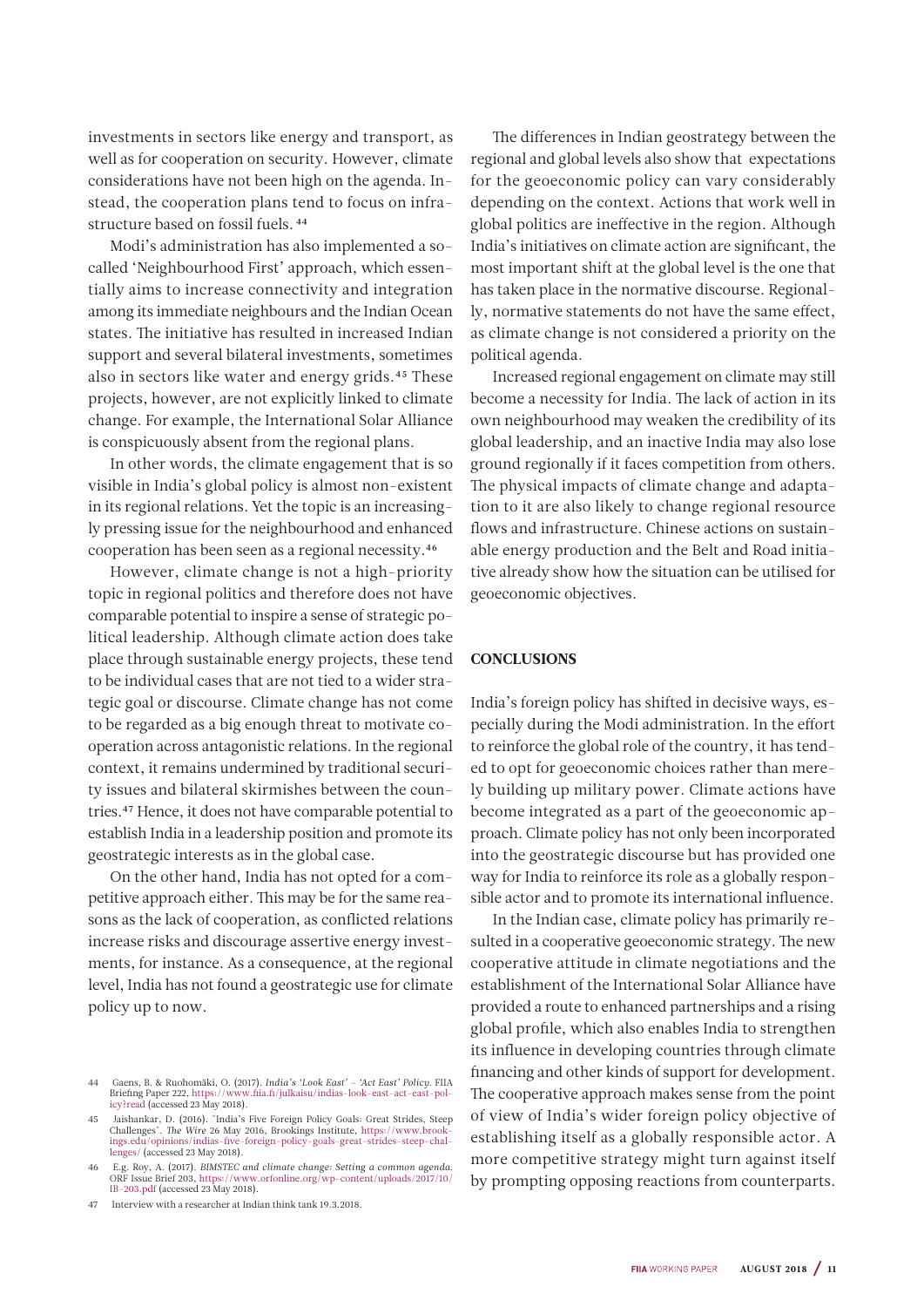<span id="page-10-0"></span>investments in sectors like energy and transport, as well as for cooperation on security. However, climate considerations have not been high on the agenda. Instead, the cooperation plans tend to focus on infrastructure based on fossil fuels. 44

Modi's administration has also implemented a socalled 'Neighbourhood First' approach, which essentially aims to increase connectivity and integration among its immediate neighbours and the Indian Ocean states. The initiative has resulted in increased Indian support and several bilateral investments, sometimes also in sectors like water and energy grids.45 These projects, however, are not explicitly linked to climate change. For example, the International Solar Alliance is conspicuously absent from the regional plans.

In other words, the climate engagement that is so visible in India's global policy is almost non-existent in its regional relations. Yet the topic is an increasingly pressing issue for the neighbourhood and enhanced cooperation has been seen as a regional necessity.46

However, climate change is not a high-priority topic in regional politics and therefore does not have comparable potential to inspire a sense of strategic political leadership. Although climate action does take place through sustainable energy projects, these tend to be individual cases that are not tied to a wider strategic goal or discourse. Climate change has not come to be regarded as a big enough threat to motivate cooperation across antagonistic relations. In the regional context, it remains undermined by traditional security issues and bilateral skirmishes between the countries.47 Hence, it does not have comparable potential to establish India in a leadership position and promote its geostrategic interests as in the global case.

On the other hand, India has not opted for a competitive approach either. This may be for the same reasons as the lack of cooperation, as conflicted relations increase risks and discourage assertive energy investments, for instance. As a consequence, at the regional level, India has not found a geostrategic use for climate policy up to now.

The differences in Indian geostrategy between the regional and global levels also show that expectations for the geoeconomic policy can vary considerably depending on the context. Actions that work well in global politics are ineffective in the region. Although India's initiatives on climate action are significant, the most important shift at the global level is the one that has taken place in the normative discourse. Regionally, normative statements do not have the same effect, as climate change is not considered a priority on the political agenda.

Increased regional engagement on climate may still become a necessity for India. The lack of action in its own neighbourhood may weaken the credibility of its global leadership, and an inactive India may also lose ground regionally if it faces competition from others. The physical impacts of climate change and adaptation to it are also likely to change regional resource flows and infrastructure. Chinese actions on sustainable energy production and the Belt and Road initiative already show how the situation can be utilised for geoeconomic objectives.

### **CONCLUSIONS**

India's foreign policy has shifted in decisive ways, especially during the Modi administration. In the effort to reinforce the global role of the country, it has tended to opt for geoeconomic choices rather than merely building up military power. Climate actions have become integrated as a part of the geoeconomic approach. Climate policy has not only been incorporated into the geostrategic discourse but has provided one way for India to reinforce its role as a globally responsible actor and to promote its international influence.

In the Indian case, climate policy has primarily resulted in a cooperative geoeconomic strategy. The new cooperative attitude in climate negotiations and the establishment of the International Solar Alliance have provided a route to enhanced partnerships and a rising global profile, which also enables India to strengthen its influence in developing countries through climate financing and other kinds of support for development. The cooperative approach makes sense from the point of view of India's wider foreign policy objective of establishing itself as a globally responsible actor. A more competitive strategy might turn against itself by prompting opposing reactions from counterparts.

<sup>44</sup> Gaens, B. & Ruohomäki, O. (2017). *India's 'Look East' – 'Act East' Policy*. FIIA Briefing Paper 222, [https://www.fiia.fi/julkaisu/indias-look-east-act-east-pol](https://www.fiia.fi/julkaisu/indias-look-east-act-east-policy?read)[icy?read](https://www.fiia.fi/julkaisu/indias-look-east-act-east-policy?read) (accessed 23 May 2018).

<sup>45</sup> Jaishankar, D. (2016). "India's Five Foreign Policy Goals: Great Strides, Steep<br>Challenges". The Wire 26 May 2016, Brookings Institute, https://www.brook-<br>ings.edu/opinions/indias-five-foreign-policy-goals-great-strides [lenges/](https://www.brookings.edu/opinions/indias-five-foreign-policy-goals-great-strides-steep-challenges/) (accessed 23 May 2018).

<sup>46</sup> E.g. Roy, A. (2017). *BIMSTEC and climate change: Setting a common agenda*. ORF Issue Brief 203, [https://www.orfonline.org/wp-content/uploads/2017/10/](https://www.orfonline.org/wp-content/uploads/2017/10/IB-203.pdf) [IB-203.pdf](https://www.orfonline.org/wp-content/uploads/2017/10/IB-203.pdf) (accessed 23 May 2018).

<sup>47</sup> Interview with a researcher at Indian think tank 19.3.2018.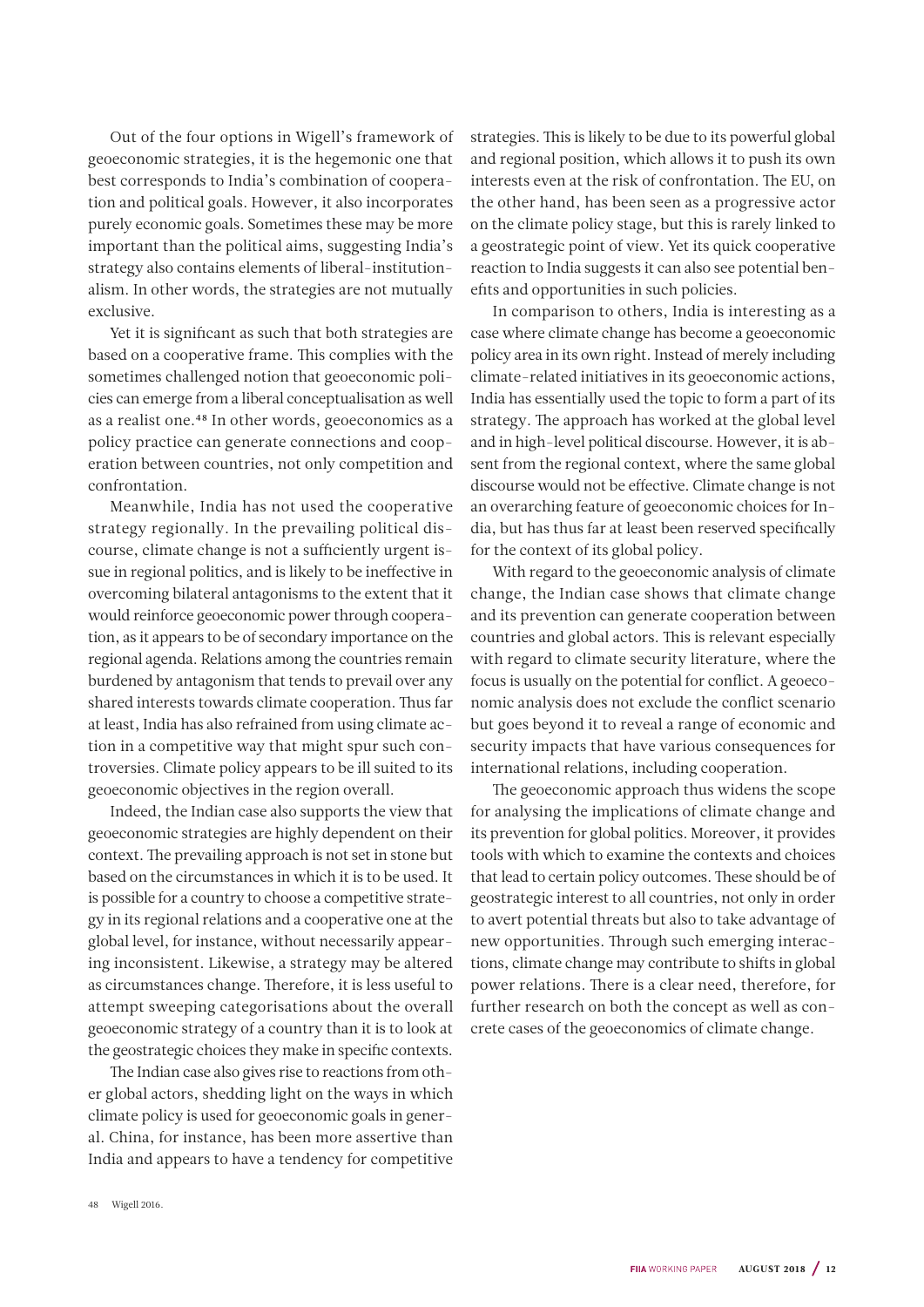Out of the four options in Wigell's framework of geoeconomic strategies, it is the hegemonic one that best corresponds to India's combination of cooperation and political goals. However, it also incorporates purely economic goals. Sometimes these may be more important than the political aims, suggesting India's strategy also contains elements of liberal-institutionalism. In other words, the strategies are not mutually exclusive.

Yet it is significant as such that both strategies are based on a cooperative frame. This complies with the sometimes challenged notion that geoeconomic policies can emerge from a liberal conceptualisation as well as a realist one.48 In other words, geoeconomics as a policy practice can generate connections and cooperation between countries, not only competition and confrontation.

Meanwhile, India has not used the cooperative strategy regionally. In the prevailing political discourse, climate change is not a sufficiently urgent issue in regional politics, and is likely to be ineffective in overcoming bilateral antagonisms to the extent that it would reinforce geoeconomic power through cooperation, as it appears to be of secondary importance on the regional agenda. Relations among the countries remain burdened by antagonism that tends to prevail over any shared interests towards climate cooperation. Thus far at least, India has also refrained from using climate action in a competitive way that might spur such controversies. Climate policy appears to be ill suited to its geoeconomic objectives in the region overall.

Indeed, the Indian case also supports the view that geoeconomic strategies are highly dependent on their context. The prevailing approach is not set in stone but based on the circumstances in which it is to be used. It is possible for a country to choose a competitive strategy in its regional relations and a cooperative one at the global level, for instance, without necessarily appearing inconsistent. Likewise, a strategy may be altered as circumstances change. Therefore, it is less useful to attempt sweeping categorisations about the overall geoeconomic strategy of a country than it is to look at the geostrategic choices they make in specific contexts.

The Indian case also gives rise to reactions from other global actors, shedding light on the ways in which climate policy is used for geoeconomic goals in general. China, for instance, has been more assertive than India and appears to have a tendency for competitive strategies. This is likely to be due to its powerful global and regional position, which allows it to push its own interests even at the risk of confrontation. The EU, on the other hand, has been seen as a progressive actor on the climate policy stage, but this is rarely linked to a geostrategic point of view. Yet its quick cooperative reaction to India suggests it can also see potential benefits and opportunities in such policies.

In comparison to others, India is interesting as a case where climate change has become a geoeconomic policy area in its own right. Instead of merely including climate-related initiatives in its geoeconomic actions, India has essentially used the topic to form a part of its strategy. The approach has worked at the global level and in high-level political discourse. However, it is absent from the regional context, where the same global discourse would not be effective. Climate change is not an overarching feature of geoeconomic choices for India, but has thus far at least been reserved specifically for the context of its global policy.

With regard to the geoeconomic analysis of climate change, the Indian case shows that climate change and its prevention can generate cooperation between countries and global actors. This is relevant especially with regard to climate security literature, where the focus is usually on the potential for conflict. A geoeconomic analysis does not exclude the conflict scenario but goes beyond it to reveal a range of economic and security impacts that have various consequences for international relations, including cooperation.

The geoeconomic approach thus widens the scope for analysing the implications of climate change and its prevention for global politics. Moreover, it provides tools with which to examine the contexts and choices that lead to certain policy outcomes. These should be of geostrategic interest to all countries, not only in order to avert potential threats but also to take advantage of new opportunities. Through such emerging interactions, climate change may contribute to shifts in global power relations. There is a clear need, therefore, for further research on both the concept as well as concrete cases of the geoeconomics of climate change.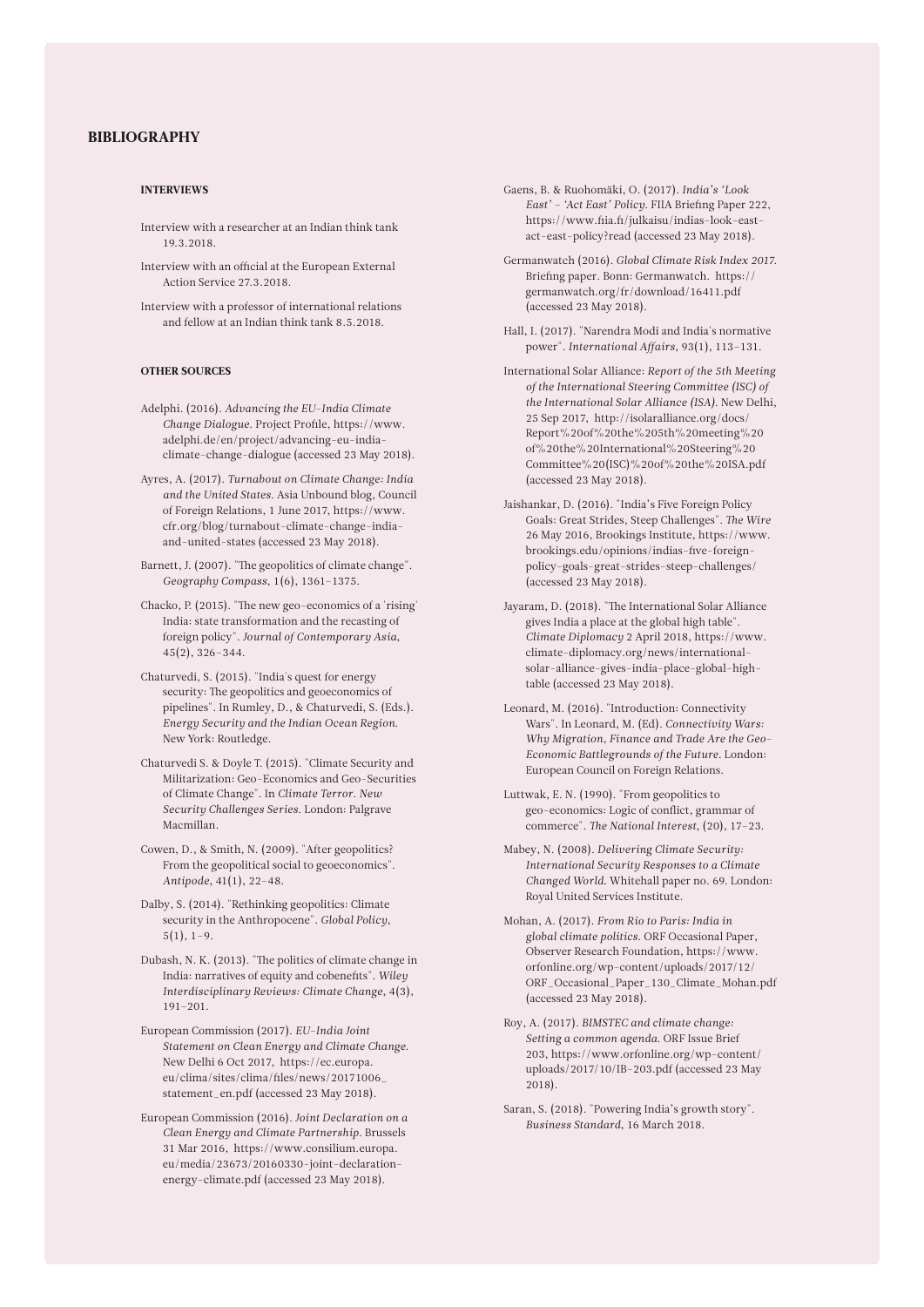#### BIBLIOGRAPHY

#### INTERVIEWS

- Interview with a researcher at an Indian think tank 19.3.2018.
- Interview with an official at the European External Action Service 27.3.2018.
- Interview with a professor of international relations and fellow at an Indian think tank 8.5.2018.

#### OTHER SOURCES

- Adelphi. (2016). *Advancing the EU-India Climate Change Dialogue*. Project Profile, https://www. adelphi.de/en/project/advancing-eu-indiaclimate-change-dialogue (accessed 23 May 2018).
- Ayres, A. (2017). *Turnabout on Climate Change: India and the United States*. Asia Unbound blog, Council of Foreign Relations, 1 June 2017, https://www. cfr.org/blog/turnabout-climate-change-indiaand-united-states (accessed 23 May 2018).
- Barnett, J. (2007). "The geopolitics of climate change". *Geography Compass*, 1(6), 1361–1375.
- Chacko, P. (2015). "The new geo-economics of a 'rising' India: state transformation and the recasting of foreign policy". *Journal of Contemporary Asia*, 45(2), 326–344.
- Chaturvedi, S. (2015). "India's quest for energy security: The geopolitics and geoeconomics of pipelines". In Rumley, D., & Chaturvedi, S. (Eds.). *Energy Security and the Indian Ocean Region*. New York: Routledge.
- Chaturvedi S. & Doyle T. (2015). "Climate Security and Militarization: Geo-Economics and Geo-Securities of Climate Change". In *Climate Terror. New Security Challenges Series*. London: Palgrave Macmillan.
- Cowen, D., & Smith, N. (2009). "After geopolitics? From the geopolitical social to geoeconomics". *Antipode*, 41(1), 22–48.
- Dalby, S. (2014). "Rethinking geopolitics: Climate security in the Anthropocene". *Global Policy*,  $5(1), 1-9.$
- Dubash, N. K. (2013). "The politics of climate change in India: narratives of equity and cobenefits". *Wiley Interdisciplinary Reviews: Climate Change*, 4(3), 191–201.
- European Commission (2017). *EU-India Joint Statement on Clean Energy and Climate Change*. New Delhi 6 Oct 2017, https://ec.europa. eu/clima/sites/clima/files/news/20171006\_ statement\_en.pdf (accessed 23 May 2018).
- European Commission (2016). *Joint Declaration on a Clean Energy and Climate Partnership*. Brussels 31 Mar 2016, https://www.consilium.europa. eu/media/23673/20160330-joint-declarationenergy-climate.pdf (accessed 23 May 2018).
- Gaens, B. & Ruohomäki, O. (2017). *India's 'Look East' – 'Act East' Policy*. FIIA Briefing Paper 222, https://www.fiia.fi/julkaisu/indias-look-eastact-east-policy?read (accessed 23 May 2018).
- Germanwatch (2016). *Global Climate Risk Index 2017*. Briefing paper. Bonn: Germanwatch. https:// germanwatch.org/fr/download/16411.pdf (accessed 23 May 2018).
- Hall, I. (2017). "Narendra Modi and India's normative power". *International Affairs*, 93(1), 113–131.
- International Solar Alliance: *Report of the 5th Meeting of the International Steering Committee (ISC) of the International Solar Alliance (ISA)*. New Delhi, 25 Sep 2017, http://isolaralliance.org/docs/ Report%20of%20the%205th%20meeting%20 of%20the%20International%20Steering%20 Committee%20(ISC)%20of%20the%20ISA.pdf (accessed 23 May 2018).
- Jaishankar, D. (2016). "India's Five Foreign Policy Goals: Great Strides, Steep Challenges". *The Wire* 26 May 2016, Brookings Institute, https://www. brookings.edu/opinions/indias-five-foreignpolicy-goals-great-strides-steep-challenges/ (accessed 23 May 2018).
- Jayaram, D. (2018). "The International Solar Alliance gives India a place at the global high table". *Climate Diplomacy* 2 April 2018, https://www. climate-diplomacy.org/news/internationalsolar-alliance-gives-india-place-global-hightable (accessed 23 May 2018).
- Leonard, M. (2016). "Introduction: Connectivity Wars". In Leonard, M. (Ed). *Connectivity Wars: Why Migration, Finance and Trade Are the Geo-Economic Battlegrounds of the Future*. London: European Council on Foreign Relations.
- Luttwak, E. N. (1990). "From geopolitics to geo-economics: Logic of conflict, grammar of commerce". *The National Interest*, (20), 17–23.
- Mabey, N. (2008). *Delivering Climate Security: International Security Responses to a Climate Changed World*. Whitehall paper no. 69. London: Royal United Services Institute.
- Mohan, A. (2017). *From Rio to Paris: India in global climate politics*. ORF Occasional Paper, Observer Research Foundation, https://www. orfonline.org/wp-content/uploads/2017/12/ ORF\_Occasional\_Paper\_130\_Climate\_Mohan.pdf (accessed 23 May 2018).
- Roy, A. (2017). *BIMSTEC and climate change: Setting a common agenda*. ORF Issue Brief 203, https://www.orfonline.org/wp-content/ uploads/2017/10/IB-203.pdf (accessed 23 May 2018).
- Saran, S. (2018). "Powering India's growth story". *Business Standard*, 16 March 2018.